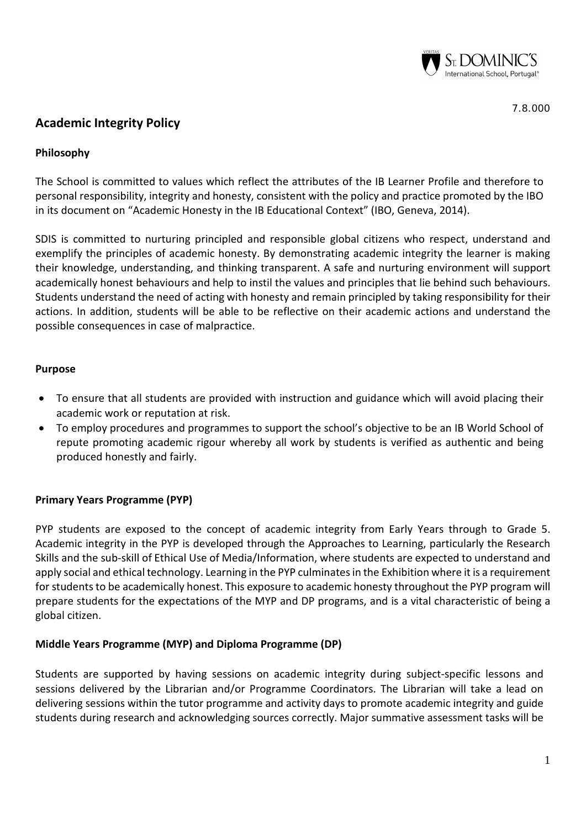

# **Academic Integrity Policy**

# **Philosophy**

The School is committed to values which reflect the attributes of the IB Learner Profile and therefore to personal responsibility, integrity and honesty, consistent with the policy and practice promoted by the IBO in its document on "Academic Honesty in the IB Educational Context" (IBO, Geneva, 2014).

SDIS is committed to nurturing principled and responsible global citizens who respect, understand and exemplify the principles of academic honesty. By demonstrating academic integrity the learner is making their knowledge, understanding, and thinking transparent. A safe and nurturing environment will support academically honest behaviours and help to instil the values and principles that lie behind such behaviours. Students understand the need of acting with honesty and remain principled by taking responsibility for their actions. In addition, students will be able to be reflective on their academic actions and understand the possible consequences in case of malpractice.

#### **Purpose**

- To ensure that all students are provided with instruction and guidance which will avoid placing their academic work or reputation at risk.
- To employ procedures and programmes to support the school's objective to be an IB World School of repute promoting academic rigour whereby all work by students is verified as authentic and being produced honestly and fairly.

## **Primary Years Programme (PYP)**

PYP students are exposed to the concept of academic integrity from Early Years through to Grade 5. Academic integrity in the PYP is developed through the Approaches to Learning, particularly the Research Skills and the sub-skill of Ethical Use of Media/Information, where students are expected to understand and apply social and ethical technology. Learning in the PYP culminates in the Exhibition where it is a requirement for students to be academically honest. This exposure to academic honesty throughout the PYP program will prepare students for the expectations of the MYP and DP programs, and is a vital characteristic of being a global citizen.

## **Middle Years Programme (MYP) and Diploma Programme (DP)**

Students are supported by having sessions on academic integrity during subject-specific lessons and sessions delivered by the Librarian and/or Programme Coordinators. The Librarian will take a lead on delivering sessions within the tutor programme and activity days to promote academic integrity and guide students during research and acknowledging sources correctly. Major summative assessment tasks will be